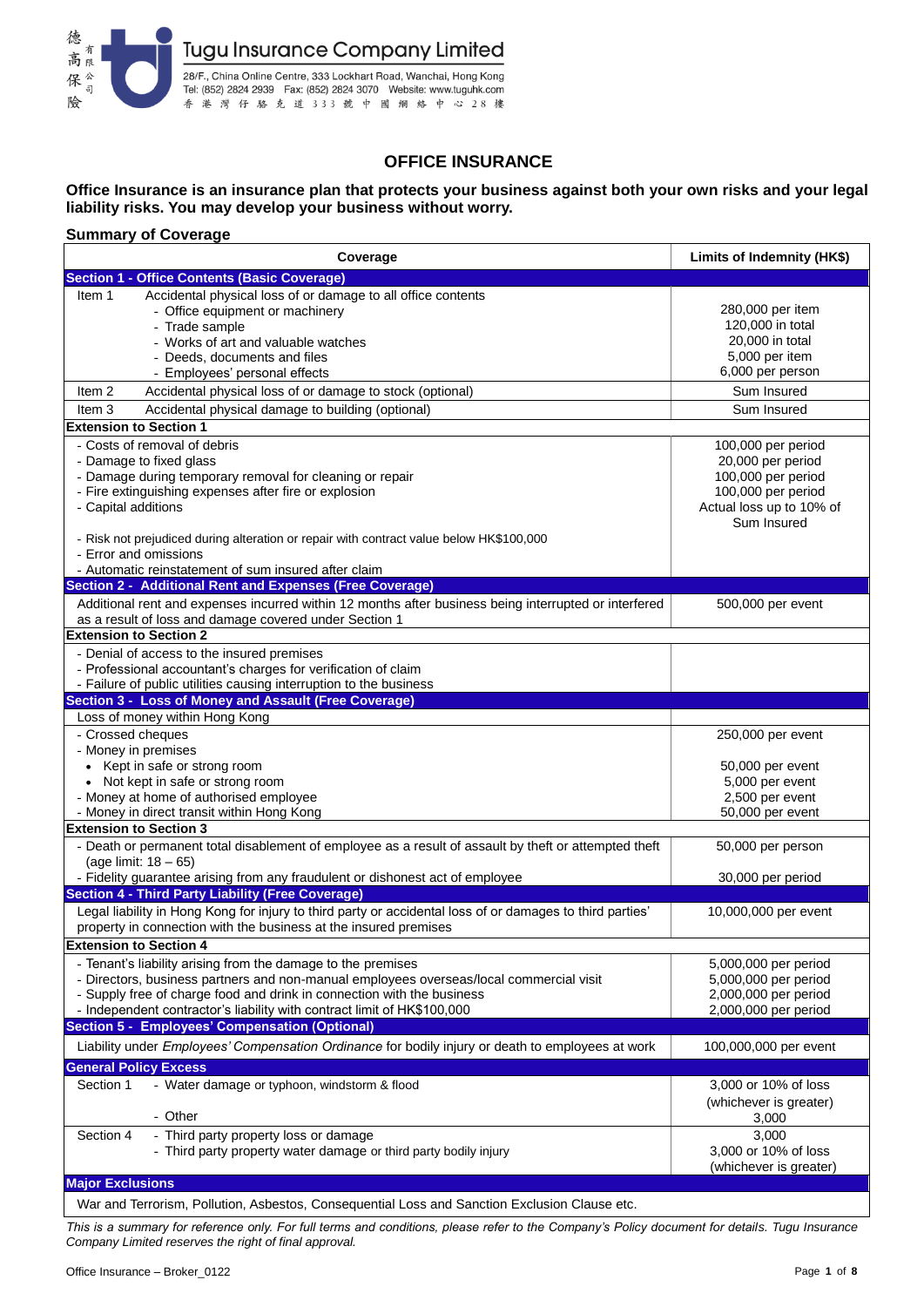

## **OFFICE INSURANCE**

### **Office Insurance is an insurance plan that protects your business against both your own risks and your legal liability risks. You may develop your business without worry.**

### **Summary of Coverage**

| Coverage                                                                                                                      | Limits of Indemnity (HK\$)         |  |  |
|-------------------------------------------------------------------------------------------------------------------------------|------------------------------------|--|--|
| <b>Section 1 - Office Contents (Basic Coverage)</b>                                                                           |                                    |  |  |
| Accidental physical loss of or damage to all office contents<br>Item 1                                                        |                                    |  |  |
| - Office equipment or machinery                                                                                               | 280,000 per item                   |  |  |
| - Trade sample                                                                                                                | 120,000 in total                   |  |  |
| - Works of art and valuable watches                                                                                           | 20,000 in total                    |  |  |
| - Deeds, documents and files                                                                                                  | 5,000 per item<br>6,000 per person |  |  |
| - Employees' personal effects<br>Accidental physical loss of or damage to stock (optional)<br>Item <sub>2</sub>               | Sum Insured                        |  |  |
| Item <sub>3</sub><br>Accidental physical damage to building (optional)                                                        | Sum Insured                        |  |  |
| <b>Extension to Section 1</b>                                                                                                 |                                    |  |  |
| - Costs of removal of debris                                                                                                  | 100,000 per period                 |  |  |
| - Damage to fixed glass                                                                                                       | 20,000 per period                  |  |  |
| - Damage during temporary removal for cleaning or repair                                                                      | 100,000 per period                 |  |  |
| - Fire extinguishing expenses after fire or explosion                                                                         | 100,000 per period                 |  |  |
| - Capital additions                                                                                                           | Actual loss up to 10% of           |  |  |
|                                                                                                                               | Sum Insured                        |  |  |
| - Risk not prejudiced during alteration or repair with contract value below HK\$100,000<br>- Error and omissions              |                                    |  |  |
| - Automatic reinstatement of sum insured after claim                                                                          |                                    |  |  |
| Section 2 - Additional Rent and Expenses (Free Coverage)                                                                      |                                    |  |  |
| Additional rent and expenses incurred within 12 months after business being interrupted or interfered                         | 500,000 per event                  |  |  |
| as a result of loss and damage covered under Section 1                                                                        |                                    |  |  |
| <b>Extension to Section 2</b>                                                                                                 |                                    |  |  |
| - Denial of access to the insured premises                                                                                    |                                    |  |  |
| - Professional accountant's charges for verification of claim                                                                 |                                    |  |  |
| - Failure of public utilities causing interruption to the business                                                            |                                    |  |  |
| Section 3 - Loss of Money and Assault (Free Coverage)<br>Loss of money within Hong Kong                                       |                                    |  |  |
| - Crossed cheques                                                                                                             | 250,000 per event                  |  |  |
| - Money in premises                                                                                                           |                                    |  |  |
| • Kept in safe or strong room                                                                                                 | 50,000 per event                   |  |  |
| • Not kept in safe or strong room                                                                                             | 5,000 per event                    |  |  |
| - Money at home of authorised employee                                                                                        | 2,500 per event                    |  |  |
| - Money in direct transit within Hong Kong                                                                                    | 50,000 per event                   |  |  |
| <b>Extension to Section 3</b>                                                                                                 |                                    |  |  |
| - Death or permanent total disablement of employee as a result of assault by theft or attempted theft<br>(age limit: 18 - 65) | 50,000 per person                  |  |  |
| - Fidelity guarantee arising from any fraudulent or dishonest act of employee                                                 | 30,000 per period                  |  |  |
| <b>Section 4 - Third Party Liability (Free Coverage)</b>                                                                      |                                    |  |  |
| Legal liability in Hong Kong for injury to third party or accidental loss of or damages to third parties'                     | 10,000,000 per event               |  |  |
| property in connection with the business at the insured premises                                                              |                                    |  |  |
| <b>Extension to Section 4</b>                                                                                                 |                                    |  |  |
| - Tenant's liability arising from the damage to the premises                                                                  | 5,000,000 per period               |  |  |
| - Directors, business partners and non-manual employees overseas/local commercial visit                                       | 5,000,000 per period               |  |  |
| - Supply free of charge food and drink in connection with the business                                                        | 2,000,000 per period               |  |  |
| - Independent contractor's liability with contract limit of HK\$100,000                                                       | 2,000,000 per period               |  |  |
| Section 5 - Employees' Compensation (Optional)                                                                                |                                    |  |  |
| Liability under Employees' Compensation Ordinance for bodily injury or death to employees at work                             | 100,000,000 per event              |  |  |
| <b>General Policy Excess</b>                                                                                                  |                                    |  |  |
| Section 1<br>- Water damage or typhoon, windstorm & flood                                                                     | 3,000 or 10% of loss               |  |  |
| - Other                                                                                                                       | (whichever is greater)             |  |  |
| Section 4<br>- Third party property loss or damage                                                                            | 3,000<br>3,000                     |  |  |
| - Third party property water damage or third party bodily injury                                                              | 3,000 or 10% of loss               |  |  |
|                                                                                                                               | (whichever is greater)             |  |  |
| <b>Major Exclusions</b>                                                                                                       |                                    |  |  |
| War and Terrorism, Pollution, Asbestos, Consequential Loss and Sanction Exclusion Clause etc.                                 |                                    |  |  |
|                                                                                                                               |                                    |  |  |

*This is a summary for reference only. For full terms and conditions, please refer to the Company's Policy document for details. Tugu Insurance Company Limited reserves the right of final approval.*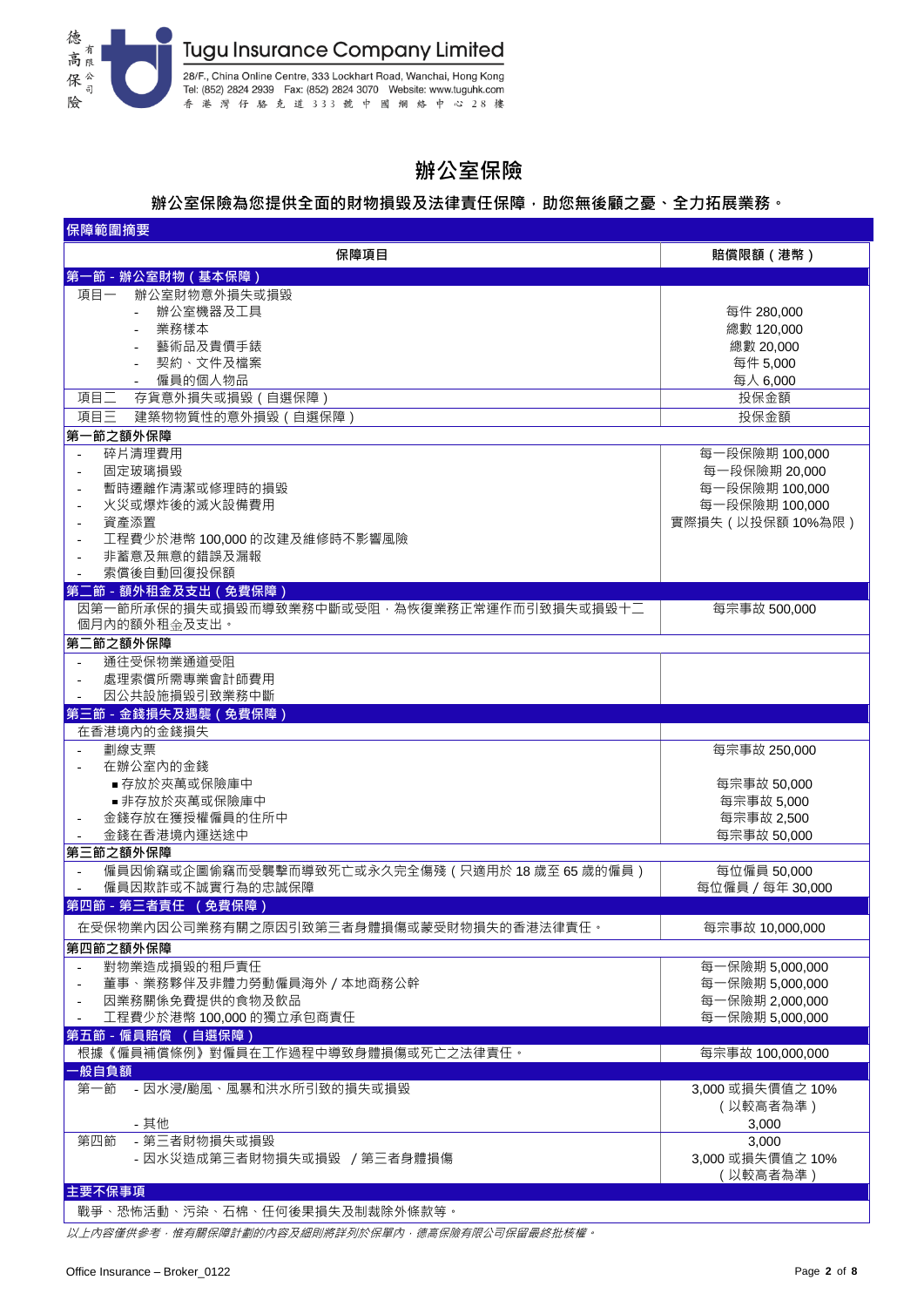

# **辦公室保險**

### **辦公室保險為您提供全面的財物損毀及法律責任保障,助您無後顧之憂、全力拓展業務。**

| 保障範圍摘要                                                       |                   |  |  |  |  |
|--------------------------------------------------------------|-------------------|--|--|--|--|
| 保障項目                                                         | 賠償限額 (港幣)         |  |  |  |  |
| 第一節 - 辦公室財物 ( 基本保障 )                                         |                   |  |  |  |  |
| 辦公室財物意外損失或損毀<br>項目一                                          |                   |  |  |  |  |
| 辦公室機器及工具<br>$\mathcal{L}^{\mathcal{L}}$                      | 每件 280,000        |  |  |  |  |
| 業務樣本                                                         | 總數 120,000        |  |  |  |  |
| 藝術品及貴價手錶                                                     | 總數 20,000         |  |  |  |  |
| 契約、文件及檔案                                                     | 每件 5,000          |  |  |  |  |
| 僱員的個人物品                                                      | 每人 6,000          |  |  |  |  |
| 項目二<br>存貨意外損失或損毀 (自選保障)                                      | 投保金額              |  |  |  |  |
| 項目三<br>建築物物質性的意外損毀 (自選保障)                                    | 投保金額              |  |  |  |  |
| 第一節之額外保障                                                     |                   |  |  |  |  |
| 碎片清理費用<br>$\overline{\phantom{a}}$                           | 每一段保險期 100,000    |  |  |  |  |
| 固定玻璃損毀<br>$\overline{\phantom{a}}$                           | 每一段保險期 20,000     |  |  |  |  |
| 暫時遷離作清潔或修理時的損毀<br>$\overline{\phantom{a}}$                   | 每一段保險期 100,000    |  |  |  |  |
| 火災或爆炸後的滅火設備費用<br>$\overline{\phantom{a}}$                    | 每一段保險期 100,000    |  |  |  |  |
| 資產添置                                                         | 實際損失 (以投保額 10%為限) |  |  |  |  |
| 工程費少於港幣 100,000 的改建及維修時不影響風險                                 |                   |  |  |  |  |
| 非蓄意及無意的錯誤及漏報                                                 |                   |  |  |  |  |
| 索償後自動回復投保額                                                   |                   |  |  |  |  |
| 第二節 - 額外租金及支出 (免費保障)                                         |                   |  |  |  |  |
| 因第一節所承保的損失或損毀而導致業務中斷或受阻,為恢復業務正常運作而引致損失或損毀十二<br>個月內的額外租金及支出。  | 每宗事故 500,000      |  |  |  |  |
| 第二節之額外保障                                                     |                   |  |  |  |  |
| 通往受保物業通道受阻                                                   |                   |  |  |  |  |
| 處理索償所需專業會計師費用                                                |                   |  |  |  |  |
| 因公共設施損毀引致業務中斷                                                |                   |  |  |  |  |
| 第三節 - 金錢損失及遇襲 (免費保障)                                         |                   |  |  |  |  |
| 在香港境内的金錢損失                                                   |                   |  |  |  |  |
| 劃線支票<br>$\sim$                                               | 每宗事故 250,000      |  |  |  |  |
| 在辦公室內的金錢                                                     |                   |  |  |  |  |
| ■ 存放於夾萬或保險庫中                                                 | 每宗事故 50,000       |  |  |  |  |
| ■ 非存放於夾萬或保險庫中                                                | 每宗事故 5,000        |  |  |  |  |
| 金錢存放在獲授權僱員的住所中                                               | 每宗事故 2,500        |  |  |  |  |
| 金錢在香港境內運送途中<br>每宗事故 50,000                                   |                   |  |  |  |  |
| 第三節之額外保障                                                     |                   |  |  |  |  |
| 僱員因偷竊或企圖偷竊而受襲擊而導致死亡或永久完全傷殘 (只適用於 18 歲至 65 歲的僱員)<br>$\bar{a}$ | 每位僱員 50,000       |  |  |  |  |
| 僱員因欺詐或不誠實行為的忠誠保障<br>第四節 - 第三者責任 (免費保障)                       | 每位僱員 / 每年 30,000  |  |  |  |  |
|                                                              |                   |  |  |  |  |
| 在受保物業內因公司業務有關之原因引致第三者身體損傷或蒙受財物損失的香港法律責任。                     | 每宗事故 10,000,000   |  |  |  |  |
| 第四節之額外保障                                                     |                   |  |  |  |  |
| 對物業造成損毀的租戶責任<br>$\sim$                                       | 每一保險期 5,000,000   |  |  |  |  |
| 董事、業務夥伴及非體力勞動僱員海外 / 本地商務公幹                                   | 每一保險期 5,000,000   |  |  |  |  |
| 因業務關係免費提供的食物及飲品<br>$\overline{\phantom{a}}$                  | 每一保險期 2,000,000   |  |  |  |  |
| 工程費少於港幣 100,000 的獨立承包商責任                                     | 每一保險期 5,000,000   |  |  |  |  |
| 第五節 - 僱員賠償 (自選保障)                                            |                   |  |  |  |  |
| 根據《僱員補償條例》對僱員在工作過程中導致身體損傷或死亡之法律責任。                           | 每宗事故 100,000,000  |  |  |  |  |
| ·般自負額                                                        |                   |  |  |  |  |
| 第一節<br>- 因水浸/颱風、風暴和洪水所引致的損失或損毀                               | 3,000 或損失價值之 10%  |  |  |  |  |
|                                                              | (以較高者為準)          |  |  |  |  |
| - 其他                                                         | 3,000             |  |  |  |  |
| - 第三者財物損失或損毀<br>第四節                                          | 3,000             |  |  |  |  |
| - 因水災造成第三者財物損失或損毀 / 第三者身體損傷                                  | 3,000 或損失價值之 10%  |  |  |  |  |
| 主要不保事項                                                       | (以較高者為準)          |  |  |  |  |
|                                                              |                   |  |  |  |  |
| 戰爭、恐怖活動、污染、石棉、任何後果損失及制裁除外條款等。                                |                   |  |  |  |  |

戰爭、恐怖活動、污染、石棉、任何後果損失及制裁除外條款等。

以上內容僅供參考,惟有關保障計劃的內容及細則將詳列於保單內,德高保險有限公司保留最終批核權。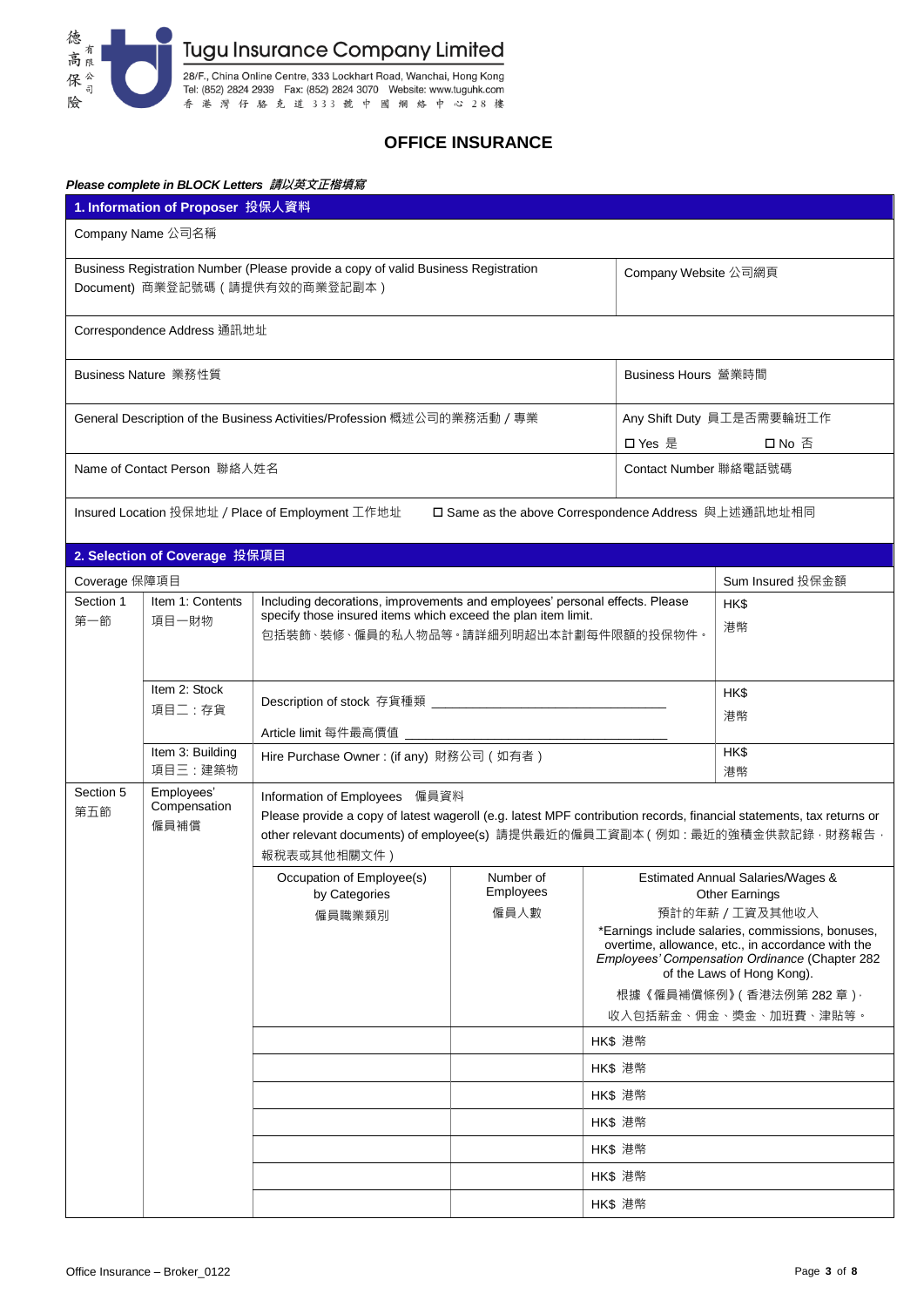

## **OFFICE INSURANCE**

### *Please complete in BLOCK Letters* **請以英文正楷填寫**

|                                                                                                                       | 1. Information of Proposer 投保人資料   |                                                                                                        |                                     |                                                                                                                                                                                                     |                                                                                                                                                                                        |  |
|-----------------------------------------------------------------------------------------------------------------------|------------------------------------|--------------------------------------------------------------------------------------------------------|-------------------------------------|-----------------------------------------------------------------------------------------------------------------------------------------------------------------------------------------------------|----------------------------------------------------------------------------------------------------------------------------------------------------------------------------------------|--|
| Company Name 公司名稱                                                                                                     |                                    |                                                                                                        |                                     |                                                                                                                                                                                                     |                                                                                                                                                                                        |  |
| Business Registration Number (Please provide a copy of valid Business Registration<br>Document) 商業登記號碼 (請提供有效的商業登記副本) |                                    |                                                                                                        |                                     | Company Website 公司網頁                                                                                                                                                                                |                                                                                                                                                                                        |  |
|                                                                                                                       | Correspondence Address 通訊地址        |                                                                                                        |                                     |                                                                                                                                                                                                     |                                                                                                                                                                                        |  |
| Business Nature 業務性質<br>Business Hours 營業時間                                                                           |                                    |                                                                                                        |                                     |                                                                                                                                                                                                     |                                                                                                                                                                                        |  |
| General Description of the Business Activities/Profession 概述公司的業務活動 / 專業<br>口 Yes 是                                   |                                    |                                                                                                        | Any Shift Duty 員工是否需要輪班工作<br>口 No 否 |                                                                                                                                                                                                     |                                                                                                                                                                                        |  |
| Name of Contact Person 聯絡人姓名<br>Contact Number 聯絡電話號碼                                                                 |                                    |                                                                                                        |                                     |                                                                                                                                                                                                     |                                                                                                                                                                                        |  |
|                                                                                                                       |                                    | Insured Location 投保地址 / Place of Employment 工作地址                                                       |                                     | □ Same as the above Correspondence Address 與上述通訊地址相同                                                                                                                                                |                                                                                                                                                                                        |  |
|                                                                                                                       | 2. Selection of Coverage 投保項目      |                                                                                                        |                                     |                                                                                                                                                                                                     |                                                                                                                                                                                        |  |
| Coverage 保障項目                                                                                                         |                                    |                                                                                                        |                                     |                                                                                                                                                                                                     | Sum Insured 投保金額                                                                                                                                                                       |  |
| Section 1                                                                                                             | Item 1: Contents                   | Including decorations, improvements and employees' personal effects. Please                            |                                     |                                                                                                                                                                                                     | HK\$                                                                                                                                                                                   |  |
| 第一節                                                                                                                   | 項目一財物                              | specify those insured items which exceed the plan item limit.<br>包括裝飾、裝修、僱員的私人物品等。請詳細列明超出本計劃每件限額的投保物件。 |                                     |                                                                                                                                                                                                     | 港幣                                                                                                                                                                                     |  |
|                                                                                                                       | Item 2: Stock                      |                                                                                                        |                                     |                                                                                                                                                                                                     | HK\$                                                                                                                                                                                   |  |
|                                                                                                                       | 項目二:存貨                             |                                                                                                        |                                     |                                                                                                                                                                                                     | 港幣                                                                                                                                                                                     |  |
|                                                                                                                       | Item 3: Building                   | Hire Purchase Owner: (if any) 財務公司 (如有者)                                                               |                                     |                                                                                                                                                                                                     | HK\$                                                                                                                                                                                   |  |
|                                                                                                                       | 項目三:建築物                            |                                                                                                        |                                     |                                                                                                                                                                                                     | 港幣                                                                                                                                                                                     |  |
| Section 5<br>第五節                                                                                                      | Employees'<br>Compensation<br>僱員補償 | Information of Employees 僱員資料<br>報稅表或其他相關文件)                                                           |                                     | Please provide a copy of latest wageroll (e.g. latest MPF contribution records, financial statements, tax returns or<br>other relevant documents) of employee(s) 請提供最近的僱員工資副本 (例如:最近的強積金供款記錄, 財務報告, |                                                                                                                                                                                        |  |
|                                                                                                                       |                                    | Occupation of Employee(s)                                                                              | Number of                           | <b>Estimated Annual Salaries/Wages &amp;</b>                                                                                                                                                        |                                                                                                                                                                                        |  |
|                                                                                                                       |                                    | by Categories<br>僱員職業類別                                                                                | Employees<br>僱員人數                   |                                                                                                                                                                                                     | <b>Other Earnings</b><br>預計的年薪 / 工資及其他收入                                                                                                                                               |  |
|                                                                                                                       |                                    |                                                                                                        |                                     |                                                                                                                                                                                                     | *Earnings include salaries, commissions, bonuses,<br>overtime, allowance, etc., in accordance with the<br>Employees' Compensation Ordinance (Chapter 282<br>of the Laws of Hong Kong). |  |
|                                                                                                                       |                                    |                                                                                                        |                                     |                                                                                                                                                                                                     | 根據《僱員補償條例》(香港法例第 282 章) ·                                                                                                                                                              |  |
|                                                                                                                       |                                    |                                                                                                        |                                     |                                                                                                                                                                                                     | 收入包括薪金、佣金、奬金、加班費、津貼等。                                                                                                                                                                  |  |
|                                                                                                                       |                                    |                                                                                                        |                                     | HK\$ 港幣                                                                                                                                                                                             |                                                                                                                                                                                        |  |
|                                                                                                                       |                                    |                                                                                                        |                                     | HK\$ 港幣                                                                                                                                                                                             |                                                                                                                                                                                        |  |
|                                                                                                                       |                                    |                                                                                                        |                                     | HK\$ 港幣                                                                                                                                                                                             |                                                                                                                                                                                        |  |
|                                                                                                                       |                                    |                                                                                                        |                                     | HK\$ 港幣                                                                                                                                                                                             |                                                                                                                                                                                        |  |
|                                                                                                                       |                                    |                                                                                                        |                                     | HK\$ 港幣                                                                                                                                                                                             |                                                                                                                                                                                        |  |
| HK\$ 港幣                                                                                                               |                                    |                                                                                                        |                                     |                                                                                                                                                                                                     |                                                                                                                                                                                        |  |
|                                                                                                                       |                                    |                                                                                                        |                                     | HK\$ 港幣                                                                                                                                                                                             |                                                                                                                                                                                        |  |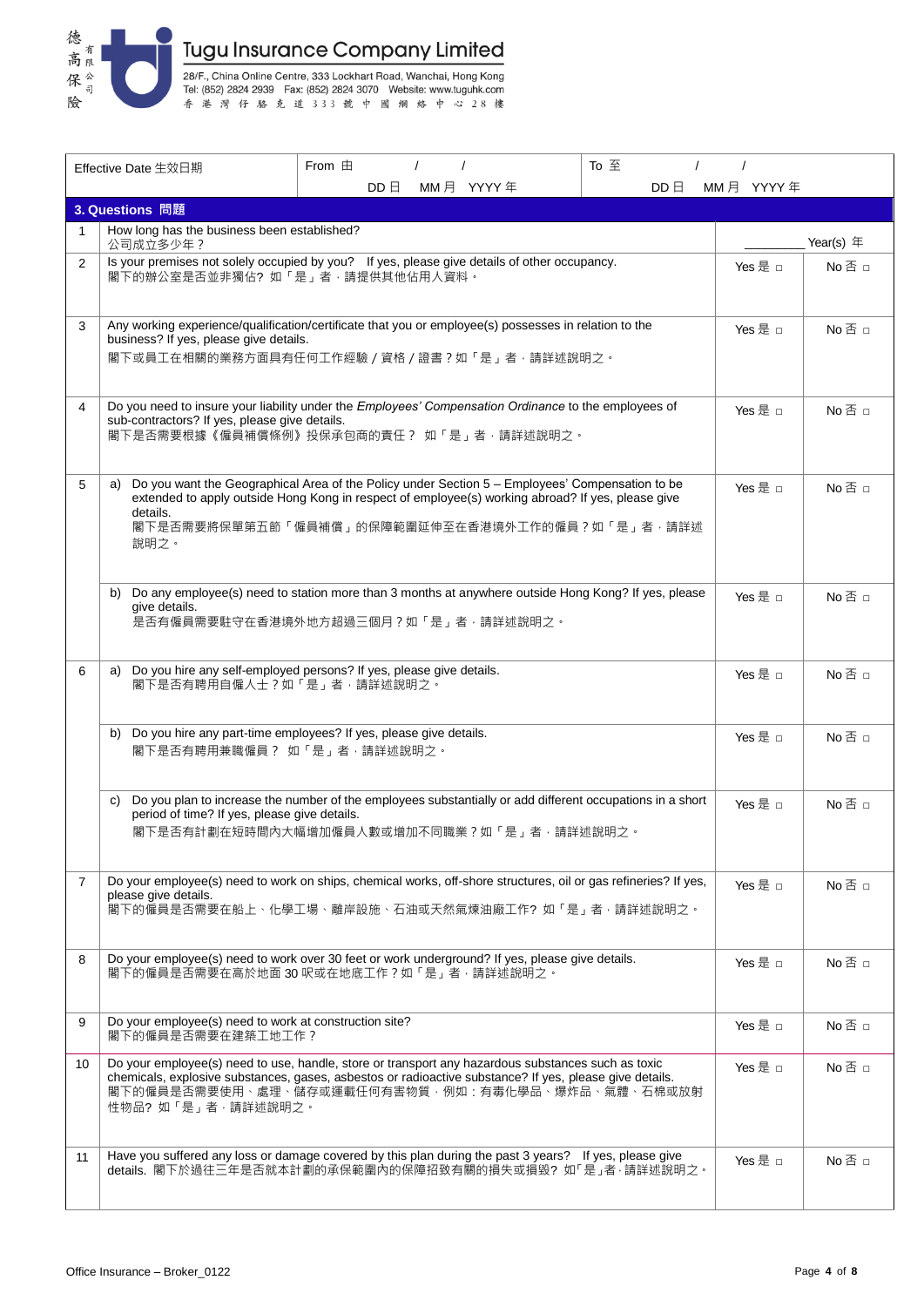

|                | Effective Date 生效日期                                                         | From $\pm$                                                                                                                                                                                                                                                        | To 주         |           |               |
|----------------|-----------------------------------------------------------------------------|-------------------------------------------------------------------------------------------------------------------------------------------------------------------------------------------------------------------------------------------------------------------|--------------|-----------|---------------|
|                |                                                                             | $DD \nightharpoonup$<br>MM月 YYYY年                                                                                                                                                                                                                                 | $DD \boxdot$ | MM月 YYYY年 |               |
|                | 3. Questions 問題                                                             |                                                                                                                                                                                                                                                                   |              |           |               |
| 1              | How long has the business been established?<br>公司成立多少年?                     |                                                                                                                                                                                                                                                                   |              |           | Year(s) $#$   |
| $\overline{2}$ | 閣下的辦公室是否並非獨佔?如「是」者,請提供其他佔用人資料。                                              | Is your premises not solely occupied by you? If yes, please give details of other occupancy.                                                                                                                                                                      |              | Yes 是 □   | $No \n  \Box$ |
| 3              | business? If yes, please give details.                                      | Any working experience/qualification/certificate that you or employee(s) possesses in relation to the<br>閣下或員工在相關的業務方面具有任何工作經驗 / 資格 / 證書 ? 如「是」者, 請詳述說明之。                                                                                                         |              | Yes 是 □   | No 否 □        |
| 4              | sub-contractors? If yes, please give details.                               | Do you need to insure your liability under the Employees' Compensation Ordinance to the employees of<br>閣下是否需要根據《僱員補償條例》投保承包商的責任? 如「是」者,請詳述說明之。                                                                                                                   |              | Yes 是 □   | No 否 □        |
| 5              | a)<br>details.<br>說明之。                                                      | Do you want the Geographical Area of the Policy under Section 5 - Employees' Compensation to be<br>extended to apply outside Hong Kong in respect of employee(s) working abroad? If yes, please give<br>閣下是否需要將保單第五節「僱員補償」的保障範圍延伸至在香港境外工作的僱員?如「是」者‧請詳述            |              | Yes 是 □   | No 否 □        |
|                | b)<br>give details.                                                         | Do any employee(s) need to station more than 3 months at anywhere outside Hong Kong? If yes, please<br>是否有僱員需要駐守在香港境外地方超過三個月?如「是」者,請詳述說明之。                                                                                                                        |              | Yes 是 n   | No 否 □        |
| 6              | a)<br>閣下是否有聘用自僱人士?如「是」者,請詳述說明之。                                             | Do you hire any self-employed persons? If yes, please give details.                                                                                                                                                                                               |              | Yes 是 □   | No 否 □        |
|                | b)<br>閣下是否有聘用兼職僱員 ? 如「是」者,請詳述說明之。                                           | Do you hire any part-time employees? If yes, please give details.                                                                                                                                                                                                 |              | Yes 是 □   | No 否 □        |
|                | C)<br>period of time? If yes, please give details.                          | Do you plan to increase the number of the employees substantially or add different occupations in a short<br>閣下是否有計劃在短時間內大幅增加僱員人數或增加不同職業?如「是」者·請詳述說明之。                                                                                                            |              | Yes 是 □   | $No \n  \Box$ |
| $\overline{7}$ | please give details.                                                        | Do your employee(s) need to work on ships, chemical works, off-shore structures, oil or gas refineries? If yes,<br>閣下的僱員是否需要在船上、化學工場、離岸設施、石油或天然氣煉油廠工作?如「是」者,請詳述說明之。                                                                                               |              | Yes 是 □   | No 否 □        |
| 8              |                                                                             | Do your employee(s) need to work over 30 feet or work underground? If yes, please give details.<br>閣下的僱員是否需要在高於地面 30 呎或在地底工作?如「是」者,請詳述說明之。                                                                                                                        |              | Yes 是 □   | No 否 □        |
| 9              | Do your employee(s) need to work at construction site?<br>閣下的僱員是否需要在建築工地工作? |                                                                                                                                                                                                                                                                   |              | Yes 是 □   | $No \n  \Box$ |
| 10             | 性物品?如「是」者,請詳述說明之。                                                           | Do your employee(s) need to use, handle, store or transport any hazardous substances such as toxic<br>chemicals, explosive substances, gases, asbestos or radioactive substance? If yes, please give details.<br>閣下的僱員是否需要使用、處理、儲存或運載任何有害物質‧例如﹕有毒化學品、爆炸品、氣體、石棉或放射 |              | Yes 是 □   | $No \n  \Box$ |
| 11             |                                                                             | Have you suffered any loss or damage covered by this plan during the past 3 years? If yes, please give<br>details. 閣下於過往三年是否就本計劃的承保範圍內的保障招致有關的損失或損毀? 如「是」者·請詳述說明之。                                                                                                |              | Yes 是 □   | $No \n  \Box$ |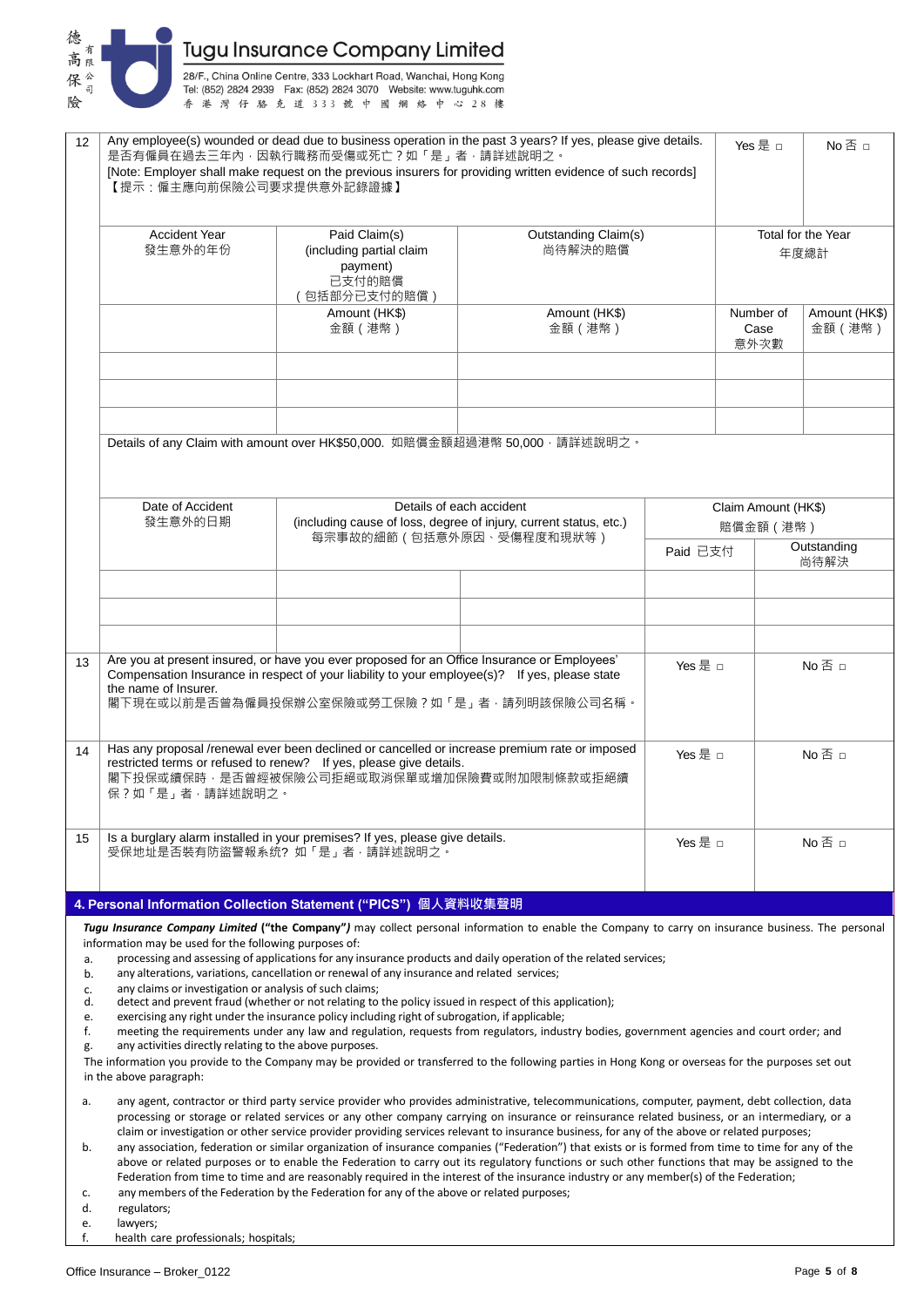

28/F., China Online Centre, 333 Lockhart Road, Wanchai, Hong Kong<br>Tel: (852) 2824 2939 Fax: (852) 2824 3070 Website: www.tuguhk.com 香港灣仔駱克道333號中國網絡中心28樓

| 12 <sup>2</sup>                                                                                                                                                                       | 【提示:僱主應向前保險公司要求提供意外記錄證據】                                                                                                                                                                                                                                                                             | 是否有僱員在過去三年內,因執行職務而受傷或死亡?如「是」者,請詳述說明之。                                                                                                                                                                                                       | Any employee(s) wounded or dead due to business operation in the past 3 years? If yes, please give details.<br>[Note: Employer shall make request on the previous insurers for providing written evidence of such records] |                   | Yes 是 □                    | No 否 □                   |  |
|---------------------------------------------------------------------------------------------------------------------------------------------------------------------------------------|------------------------------------------------------------------------------------------------------------------------------------------------------------------------------------------------------------------------------------------------------------------------------------------------------|---------------------------------------------------------------------------------------------------------------------------------------------------------------------------------------------------------------------------------------------|----------------------------------------------------------------------------------------------------------------------------------------------------------------------------------------------------------------------------|-------------------|----------------------------|--------------------------|--|
|                                                                                                                                                                                       | Accident Year<br>發生意外的年份                                                                                                                                                                                                                                                                             | Paid Claim(s)<br>(including partial claim<br>payment)<br>已支付的賠償<br>(包括部分已支付的賠償)                                                                                                                                                             | Outstanding Claim(s)<br>尚待解決的賠償                                                                                                                                                                                            |                   | Total for the Year<br>年度總計 |                          |  |
|                                                                                                                                                                                       |                                                                                                                                                                                                                                                                                                      | Amount (HK\$)<br>金額 (港幣)                                                                                                                                                                                                                    | Amount (HK\$)<br>金額 (港幣)                                                                                                                                                                                                   |                   | Number of<br>Case<br>意外次數  | Amount (HK\$)<br>金額 (港幣) |  |
|                                                                                                                                                                                       |                                                                                                                                                                                                                                                                                                      |                                                                                                                                                                                                                                             |                                                                                                                                                                                                                            |                   |                            |                          |  |
|                                                                                                                                                                                       |                                                                                                                                                                                                                                                                                                      | Details of any Claim with amount over HK\$50,000. 如賠償金額超過港幣 50,000 · 請詳述說明之。                                                                                                                                                                |                                                                                                                                                                                                                            |                   |                            |                          |  |
|                                                                                                                                                                                       | Date of Accident<br>發生意外的日期                                                                                                                                                                                                                                                                          |                                                                                                                                                                                                                                             | Details of each accident<br>(including cause of loss, degree of injury, current status, etc.)                                                                                                                              |                   | 賠償金額 (港幣)                  | Claim Amount (HK\$)      |  |
|                                                                                                                                                                                       |                                                                                                                                                                                                                                                                                                      |                                                                                                                                                                                                                                             | 每宗事故的細節 (包括意外原因、受傷程度和現狀等)                                                                                                                                                                                                  | Paid 已支付          |                            | Outstanding<br>尚待解決      |  |
|                                                                                                                                                                                       |                                                                                                                                                                                                                                                                                                      |                                                                                                                                                                                                                                             |                                                                                                                                                                                                                            |                   |                            |                          |  |
| 13                                                                                                                                                                                    | the name of Insurer.                                                                                                                                                                                                                                                                                 | Are you at present insured, or have you ever proposed for an Office Insurance or Employees'<br>Compensation Insurance in respect of your liability to your employee(s)? If yes, please state<br>閣下現在或以前是否曾為僱員投保辦公室保險或勞工保險?如「是」者,請列明該保險公司名稱。 |                                                                                                                                                                                                                            | Yes 是 □<br>No 否 □ |                            |                          |  |
| 14                                                                                                                                                                                    | Has any proposal /renewal ever been declined or cancelled or increase premium rate or imposed<br>restricted terms or refused to renew? If yes, please give details.<br>閣下投保或續保時‧是否曾經被保險公司拒絕或取消保單或增加保險費或附加限制條款或拒絕續<br>保?如「是」者,請詳述說明之。                                                                 |                                                                                                                                                                                                                                             |                                                                                                                                                                                                                            | Yes 是 □           |                            | No 否 □                   |  |
| 15                                                                                                                                                                                    | Is a burglary alarm installed in your premises? If yes, please give details.<br>受保地址是否裝有防盜警報系统?如「是」者,請詳述說明之。                                                                                                                                                                                         |                                                                                                                                                                                                                                             |                                                                                                                                                                                                                            | Yes 是 □           |                            | $No \n  \Box$            |  |
|                                                                                                                                                                                       |                                                                                                                                                                                                                                                                                                      | 4. Personal Information Collection Statement ("PICS") 個人資料收集聲明                                                                                                                                                                              |                                                                                                                                                                                                                            |                   |                            |                          |  |
|                                                                                                                                                                                       |                                                                                                                                                                                                                                                                                                      |                                                                                                                                                                                                                                             | Tugu Insurance Company Limited ("the Company") may collect personal information to enable the Company to carry on insurance business. The personal                                                                         |                   |                            |                          |  |
| a.                                                                                                                                                                                    | information may be used for the following purposes of:                                                                                                                                                                                                                                               |                                                                                                                                                                                                                                             | processing and assessing of applications for any insurance products and daily operation of the related services;                                                                                                           |                   |                            |                          |  |
| b.<br>c.                                                                                                                                                                              | any alterations, variations, cancellation or renewal of any insurance and related services;<br>any claims or investigation or analysis of such claims;                                                                                                                                               |                                                                                                                                                                                                                                             |                                                                                                                                                                                                                            |                   |                            |                          |  |
| d.<br>e.                                                                                                                                                                              | detect and prevent fraud (whether or not relating to the policy issued in respect of this application);<br>exercising any right under the insurance policy including right of subrogation, if applicable;                                                                                            |                                                                                                                                                                                                                                             |                                                                                                                                                                                                                            |                   |                            |                          |  |
| f.                                                                                                                                                                                    | meeting the requirements under any law and regulation, requests from regulators, industry bodies, government agencies and court order; and<br>any activities directly relating to the above purposes.                                                                                                |                                                                                                                                                                                                                                             |                                                                                                                                                                                                                            |                   |                            |                          |  |
| g.<br>The information you provide to the Company may be provided or transferred to the following parties in Hong Kong or overseas for the purposes set out<br>in the above paragraph: |                                                                                                                                                                                                                                                                                                      |                                                                                                                                                                                                                                             |                                                                                                                                                                                                                            |                   |                            |                          |  |
| a.                                                                                                                                                                                    | any agent, contractor or third party service provider who provides administrative, telecommunications, computer, payment, debt collection, data<br>processing or storage or related services or any other company carrying on insurance or reinsurance related business, or an intermediary, or a    |                                                                                                                                                                                                                                             |                                                                                                                                                                                                                            |                   |                            |                          |  |
| b.                                                                                                                                                                                    | claim or investigation or other service provider providing services relevant to insurance business, for any of the above or related purposes;<br>any association, federation or similar organization of insurance companies ("Federation") that exists or is formed from time to time for any of the |                                                                                                                                                                                                                                             |                                                                                                                                                                                                                            |                   |                            |                          |  |

- above or related purposes or to enable the Federation to carry out its regulatory functions or such other functions that may be assigned to the Federation from time to time and are reasonably required in the interest of the insurance industry or any member(s) of the Federation;
- c. any members of the Federation by the Federation for any of the above or related purposes;
- regulators;
- e. lawyers;<br>f. health ca
- health care professionals; hospitals;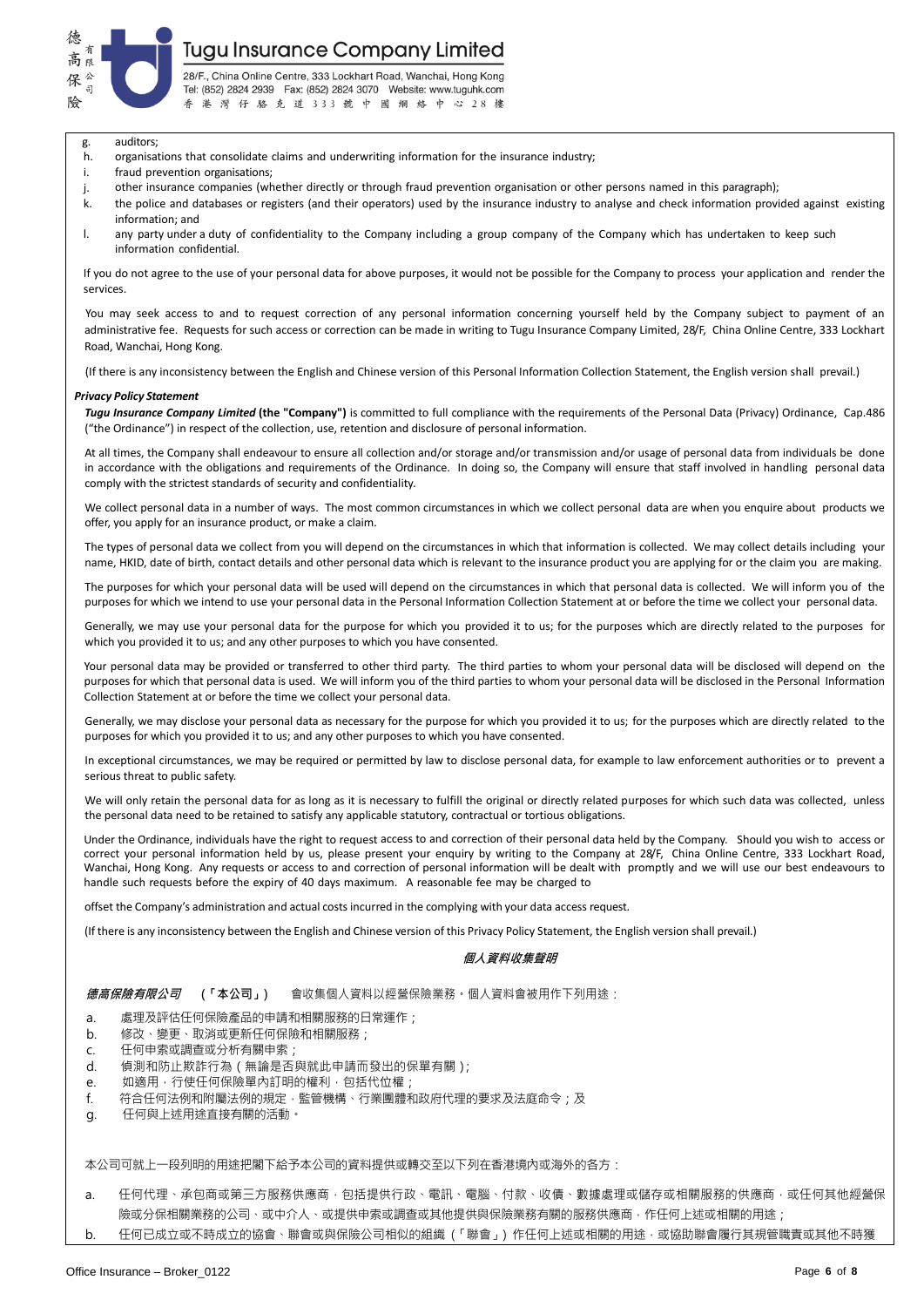

28/F., China Online Centre, 333 Lockhart Road, Wanchai, Hong Kong Tel: (852) 2824 2939 Fax: (852) 2824 3070 Website: www.tuguhk.com 香港灣仔駱克道333號中國網絡中心28樓

- g. auditors;
- h. organisations that consolidate claims and underwriting information for the insurance industry;
- i fraud prevention organisations;
- j. other insurance companies (whether directly or through fraud prevention organisation or other persons named in this paragraph);
- k. the police and databases or registers (and their operators) used by the insurance industry to analyse and check information provided against existing information; and
- l. any party under a duty of confidentiality to the Company including a group company of the Company which has undertaken to keep such information confidential.

If you do not agree to the use of your personal data for above purposes, it would not be possible for the Company to process your application and render the services.

You may seek access to and to request correction of any personal information concerning yourself held by the Company subject to payment of an administrative fee. Requests for such access or correction can be made in writing to Tugu Insurance Company Limited, 28/F, China Online Centre, 333 Lockhart Road, Wanchai, Hong Kong.

(If there is any inconsistency between the English and Chinese version of this Personal Information Collection Statement, the English version shall prevail.)

#### *Privacy Policy Statement*

*Tugu Insurance Company Limited* **(the "Company")** is committed to full compliance with the requirements of the Personal Data (Privacy) Ordinance, Cap.486 ("the Ordinance") in respect of the collection, use, retention and disclosure of personal information.

At all times, the Company shall endeavour to ensure all collection and/or storage and/or transmission and/or usage of personal data from individuals be done in accordance with the obligations and requirements of the Ordinance. In doing so, the Company will ensure that staff involved in handling personal data comply with the strictest standards of security and confidentiality.

We collect personal data in a number of ways. The most common circumstances in which we collect personal data are when you enquire about products we offer, you apply for an insurance product, or make a claim.

The types of personal data we collect from you will depend on the circumstances in which that information is collected. We may collect details including your name, HKID, date of birth, contact details and other personal data which is relevant to the insurance product you are applying for or the claim you are making.

The purposes for which your personal data will be used will depend on the circumstances in which that personal data is collected. We will inform you of the purposes for which we intend to use your personal data in the Personal Information Collection Statement at or before the time we collect your personal data.

Generally, we may use your personal data for the purpose for which you provided it to us; for the purposes which are directly related to the purposes for which you provided it to us; and any other purposes to which you have consented.

Your personal data may be provided or transferred to other third party. The third parties to whom your personal data will be disclosed will depend on the purposes for which that personal data is used. We will inform you of the third parties to whom your personal data will be disclosed in the Personal Information Collection Statement at or before the time we collect your personal data.

Generally, we may disclose your personal data as necessary for the purpose for which you provided it to us; for the purposes which are directly related to the purposes for which you provided it to us; and any other purposes to which you have consented.

In exceptional circumstances, we may be required or permitted by law to disclose personal data, for example to law enforcement authorities or to prevent a serious threat to public safety.

We will only retain the personal data for as long as it is necessary to fulfill the original or directly related purposes for which such data was collected, unless the personal data need to be retained to satisfy any applicable statutory, contractual or tortious obligations.

Under the Ordinance, individuals have the right to request access to and correction of their personal data held by the Company. Should you wish to access or correct your personal information held by us, please present your enquiry by writing to the Company at 28/F, China Online Centre, 333 Lockhart Road, Wanchai, Hong Kong. Any requests or access to and correction of personal information will be dealt with promptly and we will use our best endeavours to handle such requests before the expiry of 40 days maximum. A reasonable fee may be charged to

offset the Company's administration and actual costs incurred in the complying with your data access request.

(If there is any inconsistency between the English and Chinese version of this Privacy Policy Statement, the English version shall prevail.)

#### **個人資料收集聲明**

**德高保險有限公司 (「本公司」)** 會收集個人資料以經營保險業務。個人資料會被用作下列用途:

- a. 處理及評估任何保險產品的申請和相關服務的日常運作;
- b. 修改、變更、取消或更新任何保險和相關服務;
- c. 任何申索或調查或分析有關申索;
- d. 偵測和防止欺詐行為(無論是否與就此申請而發出的保單有關);
- e. 如適用,行使任何保險單內訂明的權利,包括代位權;
- f. 符合任何法例和附屬法例的規定,監管機構、行業團體和政府代理的要求及法庭命令;及
- g. 任何與上述用途直接有關的活動。

本公司可就上一段列明的用途把閣下給予本公司的資料提供或轉交至以下列在香港境內或海外的各方:

a. 任何代理、承包商或第三方服務供應商·包括提供行政、電訊、電腦、付款、收債、數據處理或儲存或相關服務的供應商,或任何其他經營保 險或分保相關業務的公司、或中介人、或提供申索或調查或其他提供與保險業務有關的服務供應商,作任何上述或相關的用途;

b. 任何已成立或不時成立的協會、聯會或與保險公司相似的組織 (「聯會」) 作任何上述或相關的用途,或協助聯會履行其規管職責或其他不時獲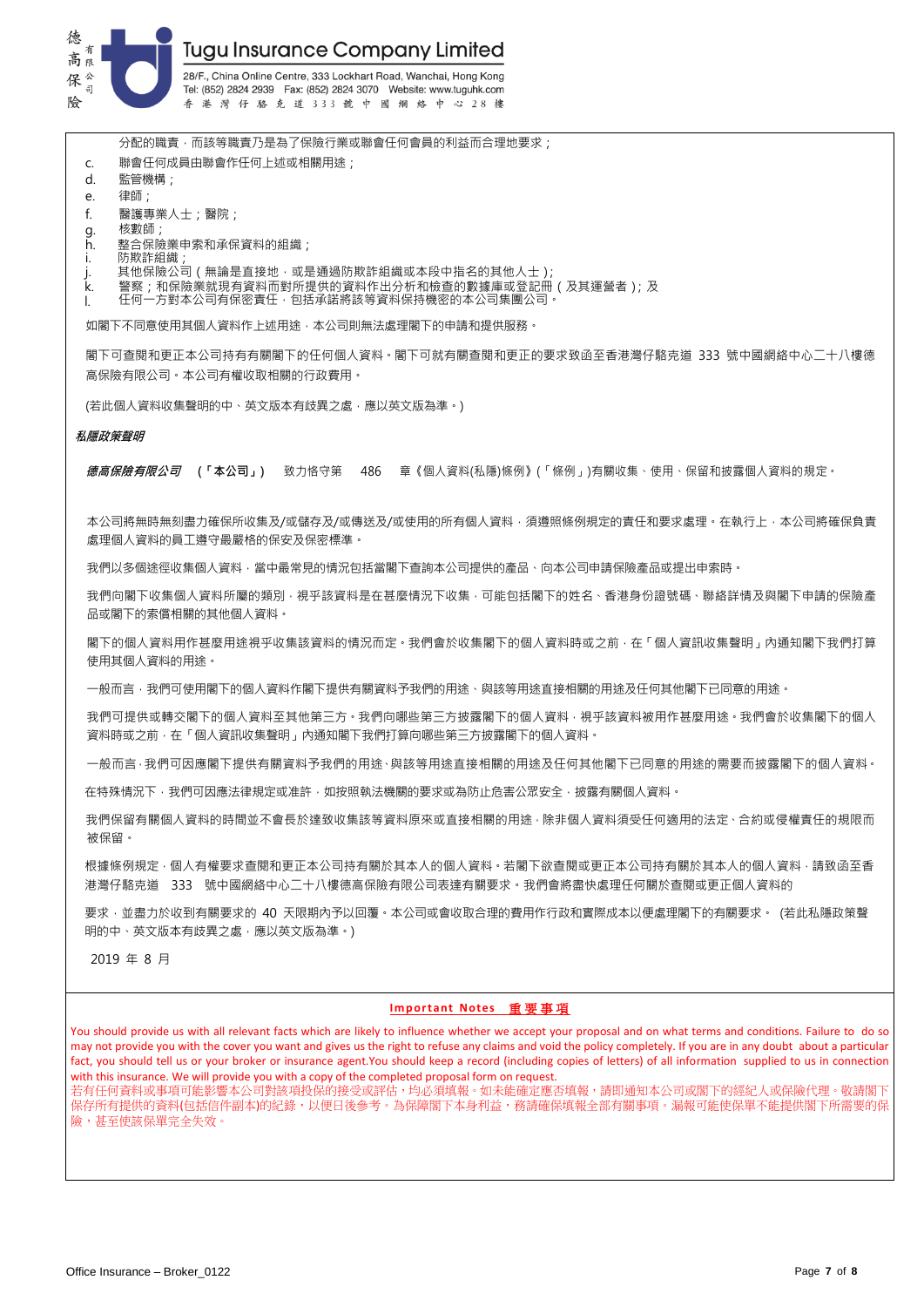

分配的職責,而該等職責乃是為了保險行業或聯會任何會員的利益而合理地要求;

- c. 聯會任何成員由聯會作任何上述或相關用途;
- d. 監管機構;
- e. 律師;
- f. 醫護專業人士;醫院;
- g. 核數師;
- 
- h. 整合保險業申索和承保資料的組織;
- i. 防欺詐組織;
- j. 其他保險公司(無論是直接地,或是通過防欺詐組織或本段中指名的其他人士);
- k. 警察;和保險業就現有資料而對所提供的資料作出分析和檢查的數據庫或登記冊(及其運營者);及
- l. 任何一方對本公司有保密責任,包括承諾將該等資料保持機密的本公司集團公司。

如閣下不同意使用其個人資料作上述用途,本公司則無法處理閣下的申請和提供服務。

閣下可查閱和更正本公司持有有關閣下的任何個人資料。閣下可就有關查閱和更正的要求致函至香港灣仔駱克道 333 號中國網絡中心二十八樓德 高保險有限公司。本公司有權收取相關的行政費用。

(若此個人資料收集聲明的中、英文版本有歧異之處,應以英文版為準。)

#### **私隱政策聲明**

**德高保險有限公司 (「本公司」)** 致力恪守第 486 章《個人資料(私隱)條例》(「條例」)有關收集、使用、保留和披露個人資料的規定。

本公司將無時無刻盡力確保所收集及/或儲存及/或傳送及/或使用的所有個人資料,須遵照條例規定的責任和要求處理。在執行上,本公司將確保負責 處理個人資料的員工遵守最嚴格的保安及保密標準。

我們以多個途徑收集個人資料,當中最常見的情況包括當閣下查詢本公司提供的產品、向本公司申請保險產品或提出申索時。

我們向閣下收集個人資料所屬的類別,視平該資料是在甚麼情況下收集,可能包括閣下的姓名、香港身份證號碼、聯絡詳情及與閣下申請的保險產 品或閣下的索償相關的其他個人資料。

閣下的個人資料用作甚麼用途視乎收集該資料的情況而定。我們會於收集閣下的個人資料時或之前,在「個人資訊收集聲明」內通知閣下我們打算 使用其個人資料的用途。

一般而言,我們可使用閣下的個人資料作閣下提供有關資料予我們的用途、與該等用途直接相關的用途及任何其他閣下已同意的用途。

我們可提供或轉交閣下的個人資料至其他第三方。我們向哪些第三方披露閣下的個人資料,視平該資料被用作甚麼用途。我們會於收集閣下的個人 資料時或之前,在「個人資訊收集聲明」內通知閣下我們打算向哪些第三方披露閣下的個人資料。

一般而言,我們可因應閣下提供有關資料予想們的用途、與該等用途直接相關的用途及任何其他閣下已同意的用途的需要而披露閣下的個人資料。

在特殊情況下,我們可因應法律規定或准許,如按照執法機關的要求或為防止危害公眾安全,披露有關個人資料。

我們保留有關個人資料的時間並不會長於達致收集該等資料原來或直接相關的用途,除非個人資料須受任何適用的法定、合約或侵權責任的規限而 被保留。

根據條例規定,個人有權要求查閱和更正本公司持有關於其本人的個人資料。若閣下欲查閱或更正本公司持有關於其本人的個人資料,請致函至香 港灣仔駱克道 333 號中國網絡中心二十八樓德高保險有限公司表達有關要求。我們會將盡快處理任何關於查閱或更正個人資料的

要求,並盡力於收到有關要求的 40 天限期內予以回覆。本公司或會收取合理的費用作行政和實際成本以便處理閣下的有關要求。 (若此私隱政策聲 明的中、英文版本有歧異之處,應以英文版為準。)

2019 年 8 月

### **Important Notes** 重 要 事 項

You should provide us with all relevant facts which are likely to influence whether we accept your proposal and on what terms and conditions. Failure to do so may not provide you with the cover you want and gives us the right to refuse any claims and void the policy completely. If you are in any doubt about a particular fact, you should tell us or your broker or insurance agent.You should keep a record (including copies of letters) of all information supplied to us in connection with this insurance. We will provide you with a copy of the completed proposal form on request. 若有任何資料或事項可能影響本公司對該項投保的接受或評估,均必須填報。如未能確定應否填報,請即通知本公司或閣下的經紀人或保險代理。敬請閣下 保存所有提供的資料(包括信件副本)的紀錄,以便日後參考。為保障閣下本身利益,務請確保填報全部有關事項。漏報可能使保單不能提供閣下所需要的保 險,甚至使該保單完全失效。